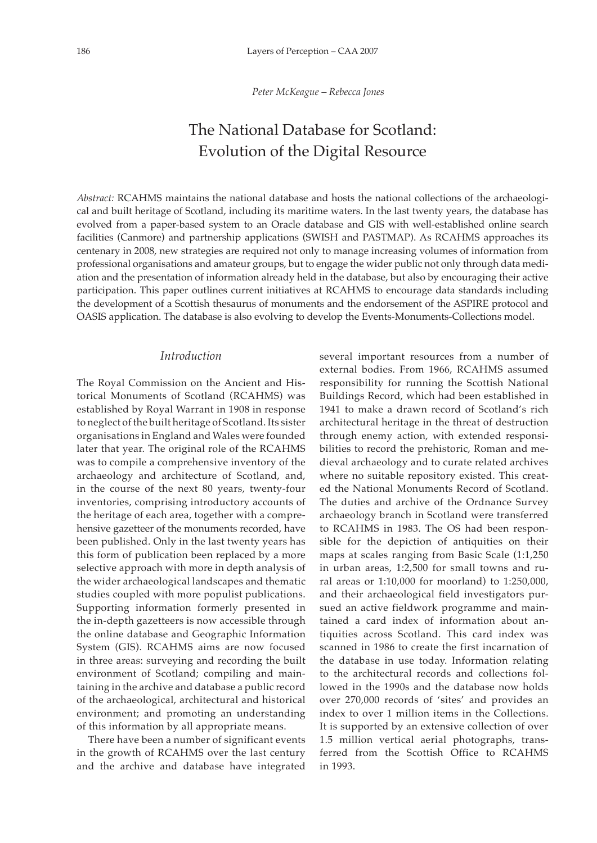*Peter McKeague – Rebecca Jones*

# The National Database for Scotland: Evolution of the Digital Resource

*Abstract:* RCAHMS maintains the national database and hosts the national collections of the archaeological and built heritage of Scotland, including its maritime waters. In the last twenty years, the database has evolved from a paper-based system to an Oracle database and GIS with well-established online search facilities (Canmore) and partnership applications (SWISH and PASTMAP). As RCAHMS approaches its centenary in 2008, new strategies are required not only to manage increasing volumes of information from professional organisations and amateur groups, but to engage the wider public not only through data mediation and the presentation of information already held in the database, but also by encouraging their active participation. This paper outlines current initiatives at RCAHMS to encourage data standards including the development of a Scottish thesaurus of monuments and the endorsement of the ASPIRE protocol and OASIS application. The database is also evolving to develop the Events-Monuments-Collections model.

## *Introduction*

The Royal Commission on the Ancient and Historical Monuments of Scotland (RCAHMS) was established by Royal Warrant in 1908 in response to neglect of the built heritage of Scotland. Its sister organisations in England and Wales were founded later that year. The original role of the RCAHMS was to compile a comprehensive inventory of the archaeology and architecture of Scotland, and, in the course of the next 80 years, twenty-four inventories, comprising introductory accounts of the heritage of each area, together with a comprehensive gazetteer of the monuments recorded, have been published. Only in the last twenty years has this form of publication been replaced by a more selective approach with more in depth analysis of the wider archaeological landscapes and thematic studies coupled with more populist publications. Supporting information formerly presented in the in-depth gazetteers is now accessible through the online database and Geographic Information System (GIS). RCAHMS aims are now focused in three areas: surveying and recording the built environment of Scotland; compiling and maintaining in the archive and database a public record of the archaeological, architectural and historical environment; and promoting an understanding of this information by all appropriate means.

There have been a number of significant events in the growth of RCAHMS over the last century and the archive and database have integrated

several important resources from a number of external bodies. From 1966, RCAHMS assumed responsibility for running the Scottish National Buildings Record, which had been established in 1941 to make a drawn record of Scotland's rich architectural heritage in the threat of destruction through enemy action, with extended responsibilities to record the prehistoric, Roman and medieval archaeology and to curate related archives where no suitable repository existed. This created the National Monuments Record of Scotland. The duties and archive of the Ordnance Survey archaeology branch in Scotland were transferred to RCAHMS in 1983. The OS had been responsible for the depiction of antiquities on their maps at scales ranging from Basic Scale (1:1,250 in urban areas, 1:2,500 for small towns and rural areas or 1:10,000 for moorland) to 1:250,000, and their archaeological field investigators pursued an active fieldwork programme and maintained a card index of information about antiquities across Scotland. This card index was scanned in 1986 to create the first incarnation of the database in use today. Information relating to the architectural records and collections followed in the 1990s and the database now holds over 270,000 records of 'sites' and provides an index to over 1 million items in the Collections. It is supported by an extensive collection of over 1.5 million vertical aerial photographs, transferred from the Scottish Office to RCAHMS in 1993.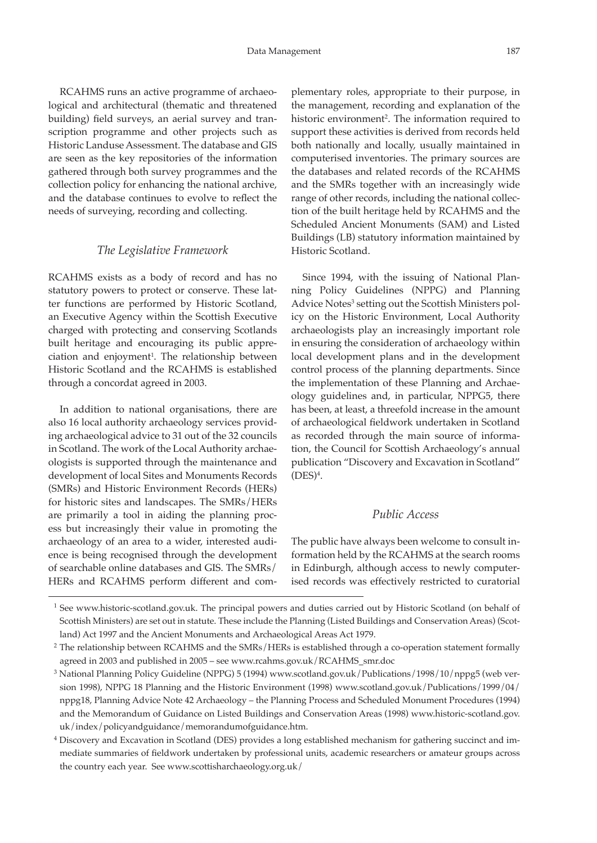RCAHMS runs an active programme of archaeological and architectural (thematic and threatened building) field surveys, an aerial survey and transcription programme and other projects such as Historic Landuse Assessment. The database and GIS are seen as the key repositories of the information gathered through both survey programmes and the collection policy for enhancing the national archive, and the database continues to evolve to reflect the needs of surveying, recording and collecting.

## *The Legislative Framework*

RCAHMS exists as a body of record and has no statutory powers to protect or conserve. These latter functions are performed by Historic Scotland, an Executive Agency within the Scottish Executive charged with protecting and conserving Scotlands built heritage and encouraging its public appreciation and enjoyment<sup>1</sup>. The relationship between Historic Scotland and the RCAHMS is established through a concordat agreed in 2003.

In addition to national organisations, there are also 16 local authority archaeology services providing archaeological advice to 31 out of the 32 councils in Scotland. The work of the Local Authority archaeologists is supported through the maintenance and development of local Sites and Monuments Records (SMRs) and Historic Environment Records (HERs) for historic sites and landscapes. The SMRs/HERs are primarily a tool in aiding the planning process but increasingly their value in promoting the archaeology of an area to a wider, interested audience is being recognised through the development of searchable online databases and GIS. The SMRs/ HERs and RCAHMS perform different and com-

plementary roles, appropriate to their purpose, in the management, recording and explanation of the historic environment<sup>2</sup>. The information required to support these activities is derived from records held both nationally and locally, usually maintained in computerised inventories. The primary sources are the databases and related records of the RCAHMS and the SMRs together with an increasingly wide range of other records, including the national collection of the built heritage held by RCAHMS and the Scheduled Ancient Monuments (SAM) and Listed Buildings (LB) statutory information maintained by Historic Scotland.

Since 1994, with the issuing of National Planning Policy Guidelines (NPPG) and Planning Advice Notes<sup>3</sup> setting out the Scottish Ministers policy on the Historic Environment, Local Authority archaeologists play an increasingly important role in ensuring the consideration of archaeology within local development plans and in the development control process of the planning departments. Since the implementation of these Planning and Archaeology guidelines and, in particular, NPPG5, there has been, at least, a threefold increase in the amount of archaeological fieldwork undertaken in Scotland as recorded through the main source of information, the Council for Scottish Archaeology's annual publication "Discovery and Excavation in Scotland"  $(DES)^4$ .

## *Public Access*

The public have always been welcome to consult information held by the RCAHMS at the search rooms in Edinburgh, although access to newly computerised records was effectively restricted to curatorial

<sup>&</sup>lt;sup>1</sup> See www.historic-scotland.gov.uk. The principal powers and duties carried out by Historic Scotland (on behalf of Scottish Ministers) are set out in statute. These include the Planning (Listed Buildings and Conservation Areas) (Scotland) Act 1997 and the Ancient Monuments and Archaeological Areas Act 1979.

<sup>&</sup>lt;sup>2</sup> The relationship between RCAHMS and the SMRs/HERs is established through a co-operation statement formally agreed in 2003 and published in 2005 – see www.rcahms.gov.uk/RCAHMS\_smr.doc

<sup>3</sup> National Planning Policy Guideline (NPPG) 5 (1994) www.scotland.gov.uk/Publications/1998/10/nppg5 (web version 1998), NPPG 18 Planning and the Historic Environment (1998) www.scotland.gov.uk/Publications/1999/04/ nppg18, Planning Advice Note 42 Archaeology – the Planning Process and Scheduled Monument Procedures (1994) and the Memorandum of Guidance on Listed Buildings and Conservation Areas (1998) www.historic-scotland.gov. uk/index/policyandguidance/memorandumofguidance.htm.

<sup>4</sup> Discovery and Excavation in Scotland (DES) provides a long established mechanism for gathering succinct and immediate summaries of fieldwork undertaken by professional units, academic researchers or amateur groups across the country each year. See www.scottisharchaeology.org.uk/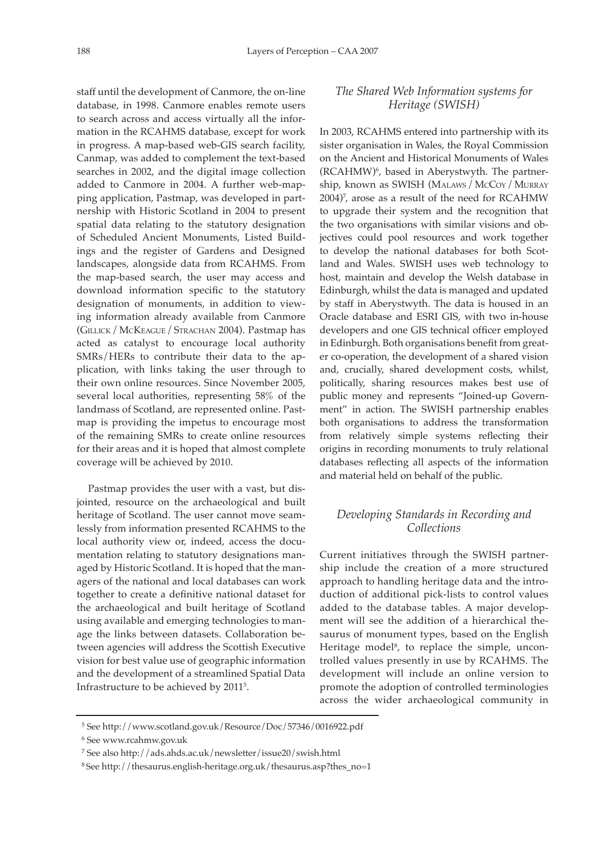staff until the development of Canmore, the on-line database, in 1998. Canmore enables remote users to search across and access virtually all the information in the RCAHMS database, except for work in progress. A map-based web-GIS search facility, Canmap, was added to complement the text-based searches in 2002, and the digital image collection added to Canmore in 2004. A further web-mapping application, Pastmap, was developed in partnership with Historic Scotland in 2004 to present spatial data relating to the statutory designation of Scheduled Ancient Monuments, Listed Buildings and the register of Gardens and Designed landscapes, alongside data from RCAHMS. From the map-based search, the user may access and download information specific to the statutory designation of monuments, in addition to viewing information already available from Canmore (Gillick / McKeague / Strachan 2004). Pastmap has acted as catalyst to encourage local authority SMRs/HERs to contribute their data to the application, with links taking the user through to their own online resources. Since November 2005, several local authorities, representing 58% of the landmass of Scotland, are represented online. Pastmap is providing the impetus to encourage most of the remaining SMRs to create online resources for their areas and it is hoped that almost complete coverage will be achieved by 2010.

Pastmap provides the user with a vast, but disjointed, resource on the archaeological and built heritage of Scotland. The user cannot move seamlessly from information presented RCAHMS to the local authority view or, indeed, access the documentation relating to statutory designations managed by Historic Scotland. It is hoped that the managers of the national and local databases can work together to create a definitive national dataset for the archaeological and built heritage of Scotland using available and emerging technologies to manage the links between datasets. Collaboration between agencies will address the Scottish Executive vision for best value use of geographic information and the development of a streamlined Spatial Data Infrastructure to be achieved by 20115.

# *The Shared Web Information systems for Heritage (SWISH)*

In 2003, RCAHMS entered into partnership with its sister organisation in Wales, the Royal Commission on the Ancient and Historical Monuments of Wales (RCAHMW)6, based in Aberystwyth. The partnership, known as SWISH (Malaws/ McCoy / Murray 2004)7 , arose as a result of the need for RCAHMW to upgrade their system and the recognition that the two organisations with similar visions and objectives could pool resources and work together to develop the national databases for both Scotland and Wales. SWISH uses web technology to host, maintain and develop the Welsh database in Edinburgh, whilst the data is managed and updated by staff in Aberystwyth. The data is housed in an Oracle database and ESRI GIS, with two in-house developers and one GIS technical officer employed in Edinburgh. Both organisations benefit from greater co-operation, the development of a shared vision and, crucially, shared development costs, whilst, politically, sharing resources makes best use of public money and represents "Joined-up Government" in action. The SWISH partnership enables both organisations to address the transformation from relatively simple systems reflecting their origins in recording monuments to truly relational databases reflecting all aspects of the information and material held on behalf of the public.

# *Developing Standards in Recording and Collections*

Current initiatives through the SWISH partnership include the creation of a more structured approach to handling heritage data and the introduction of additional pick-lists to control values added to the database tables. A major development will see the addition of a hierarchical thesaurus of monument types, based on the English Heritage model<sup>8</sup>, to replace the simple, uncontrolled values presently in use by RCAHMS. The development will include an online version to promote the adoption of controlled terminologies across the wider archaeological community in

<sup>5</sup> See http://www.scotland.gov.uk/Resource/Doc/57346/0016922.pdf

<sup>6</sup> See www.rcahmw.gov.uk

<sup>7</sup> See also http://ads.ahds.ac.uk/newsletter/issue20/swish.html

<sup>8</sup> See http://thesaurus.english-heritage.org.uk/thesaurus.asp?thes\_no=1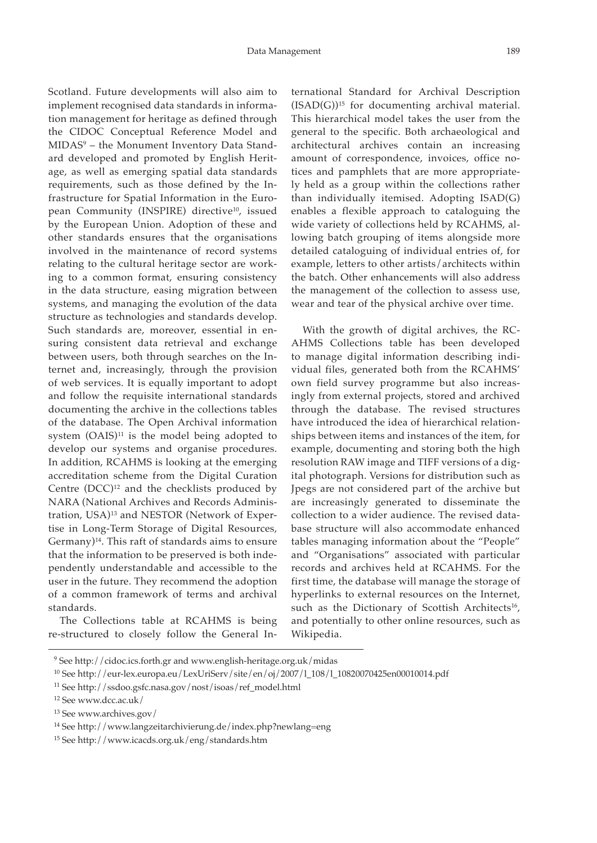Scotland. Future developments will also aim to implement recognised data standards in information management for heritage as defined through the CIDOC Conceptual Reference Model and MIDAS9 – the Monument Inventory Data Standard developed and promoted by English Heritage, as well as emerging spatial data standards requirements, such as those defined by the Infrastructure for Spatial Information in the European Community (INSPIRE) directive<sup>10</sup>, issued by the European Union. Adoption of these and other standards ensures that the organisations involved in the maintenance of record systems relating to the cultural heritage sector are working to a common format, ensuring consistency in the data structure, easing migration between systems, and managing the evolution of the data structure as technologies and standards develop. Such standards are, moreover, essential in ensuring consistent data retrieval and exchange between users, both through searches on the Internet and, increasingly, through the provision of web services. It is equally important to adopt and follow the requisite international standards documenting the archive in the collections tables of the database. The Open Archival information system  $(OAIS)^{11}$  is the model being adopted to develop our systems and organise procedures. In addition, RCAHMS is looking at the emerging accreditation scheme from the Digital Curation Centre  $(DCC)^{12}$  and the checklists produced by NARA (National Archives and Records Administration, USA)<sup>13</sup> and NESTOR (Network of Expertise in Long-Term Storage of Digital Resources, Germany)14. This raft of standards aims to ensure that the information to be preserved is both independently understandable and accessible to the user in the future. They recommend the adoption of a common framework of terms and archival standards.

The Collections table at RCAHMS is being re-structured to closely follow the General In-

ternational Standard for Archival Description  $(ISAD(G))$ <sup>15</sup> for documenting archival material. This hierarchical model takes the user from the general to the specific. Both archaeological and architectural archives contain an increasing amount of correspondence, invoices, office notices and pamphlets that are more appropriately held as a group within the collections rather than individually itemised. Adopting ISAD(G) enables a flexible approach to cataloguing the wide variety of collections held by RCAHMS, allowing batch grouping of items alongside more detailed cataloguing of individual entries of, for example, letters to other artists/architects within the batch. Other enhancements will also address the management of the collection to assess use, wear and tear of the physical archive over time.

With the growth of digital archives, the RC-AHMS Collections table has been developed to manage digital information describing individual files, generated both from the RCAHMS' own field survey programme but also increasingly from external projects, stored and archived through the database. The revised structures have introduced the idea of hierarchical relationships between items and instances of the item, for example, documenting and storing both the high resolution RAW image and TIFF versions of a digital photograph. Versions for distribution such as Jpegs are not considered part of the archive but are increasingly generated to disseminate the collection to a wider audience. The revised database structure will also accommodate enhanced tables managing information about the "People" and "Organisations" associated with particular records and archives held at RCAHMS. For the first time, the database will manage the storage of hyperlinks to external resources on the Internet, such as the Dictionary of Scottish Architects<sup>16</sup>, and potentially to other online resources, such as Wikipedia.

<sup>9</sup> See http://cidoc.ics.forth.gr and www.english-heritage.org.uk/midas

<sup>10</sup> See http://eur-lex.europa.eu/LexUriServ/site/en/oj/2007/l\_108/l\_10820070425en00010014.pdf

<sup>11</sup> See http://ssdoo.gsfc.nasa.gov/nost/isoas/ref\_model.html

<sup>12</sup> See www.dcc.ac.uk/

<sup>13</sup> See www.archives.gov/

<sup>14</sup> See http://www.langzeitarchivierung.de/index.php?newlang=eng

<sup>15</sup> See http://www.icacds.org.uk/eng/standards.htm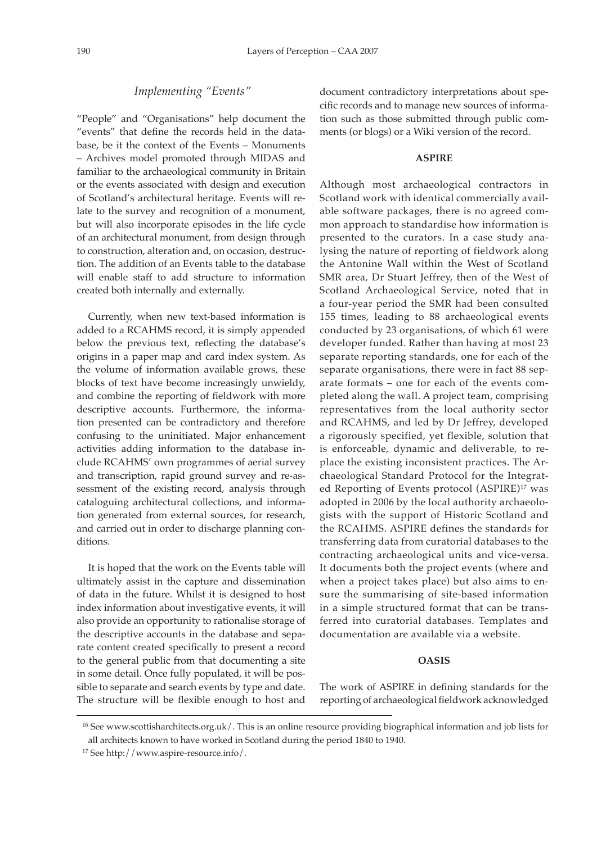#### *Implementing "Events"*

"People" and "Organisations" help document the "events" that define the records held in the database, be it the context of the Events – Monuments – Archives model promoted through MIDAS and familiar to the archaeological community in Britain or the events associated with design and execution of Scotland's architectural heritage. Events will relate to the survey and recognition of a monument, but will also incorporate episodes in the life cycle of an architectural monument, from design through to construction, alteration and, on occasion, destruction. The addition of an Events table to the database will enable staff to add structure to information created both internally and externally.

Currently, when new text-based information is added to a RCAHMS record, it is simply appended below the previous text, reflecting the database's origins in a paper map and card index system. As the volume of information available grows, these blocks of text have become increasingly unwieldy, and combine the reporting of fieldwork with more descriptive accounts. Furthermore, the information presented can be contradictory and therefore confusing to the uninitiated. Major enhancement activities adding information to the database include RCAHMS' own programmes of aerial survey and transcription, rapid ground survey and re-assessment of the existing record, analysis through cataloguing architectural collections, and information generated from external sources, for research, and carried out in order to discharge planning conditions.

It is hoped that the work on the Events table will ultimately assist in the capture and dissemination of data in the future. Whilst it is designed to host index information about investigative events, it will also provide an opportunity to rationalise storage of the descriptive accounts in the database and separate content created specifically to present a record to the general public from that documenting a site in some detail. Once fully populated, it will be possible to separate and search events by type and date. The structure will be flexible enough to host and

document contradictory interpretations about specific records and to manage new sources of information such as those submitted through public comments (or blogs) or a Wiki version of the record.

#### **ASPIRE**

Although most archaeological contractors in Scotland work with identical commercially available software packages, there is no agreed common approach to standardise how information is presented to the curators. In a case study analysing the nature of reporting of fieldwork along the Antonine Wall within the West of Scotland SMR area, Dr Stuart Jeffrey, then of the West of Scotland Archaeological Service, noted that in a four-year period the SMR had been consulted 155 times, leading to 88 archaeological events conducted by 23 organisations, of which 61 were developer funded. Rather than having at most 23 separate reporting standards, one for each of the separate organisations, there were in fact 88 separate formats – one for each of the events completed along the wall. A project team, comprising representatives from the local authority sector and RCAHMS, and led by Dr Jeffrey, developed a rigorously specified, yet flexible, solution that is enforceable, dynamic and deliverable, to replace the existing inconsistent practices. The Archaeological Standard Protocol for the Integrated Reporting of Events protocol (ASPIRE)17 was adopted in 2006 by the local authority archaeologists with the support of Historic Scotland and the RCAHMS. ASPIRE defines the standards for transferring data from curatorial databases to the contracting archaeological units and vice-versa. It documents both the project events (where and when a project takes place) but also aims to ensure the summarising of site-based information in a simple structured format that can be transferred into curatorial databases. Templates and documentation are available via a website.

#### **OASIS**

The work of ASPIRE in defining standards for the reporting of archaeological fieldwork acknowledged

<sup>16</sup> See www.scottisharchitects.org.uk/. This is an online resource providing biographical information and job lists for all architects known to have worked in Scotland during the period 1840 to 1940.

<sup>17</sup> See http://www.aspire-resource.info/.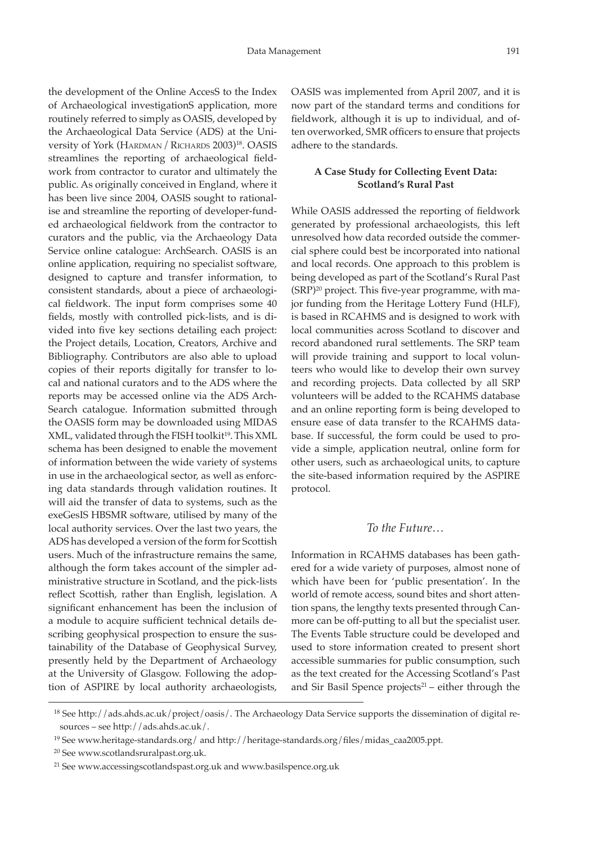the development of the Online AccesS to the Index of Archaeological investigationS application, more routinely referred to simply as OASIS, developed by the Archaeological Data Service (ADS) at the University of York (HARDMAN / RICHARDS 2003)<sup>18</sup>. OASIS streamlines the reporting of archaeological fieldwork from contractor to curator and ultimately the public. As originally conceived in England, where it has been live since 2004, OASIS sought to rationalise and streamline the reporting of developer-funded archaeological fieldwork from the contractor to curators and the public, via the Archaeology Data Service online catalogue: ArchSearch. OASIS is an online application, requiring no specialist software, designed to capture and transfer information, to consistent standards, about a piece of archaeological fieldwork. The input form comprises some 40 fields, mostly with controlled pick-lists, and is divided into five key sections detailing each project: the Project details, Location, Creators, Archive and Bibliography. Contributors are also able to upload copies of their reports digitally for transfer to local and national curators and to the ADS where the reports may be accessed online via the ADS Arch-Search catalogue. Information submitted through the OASIS form may be downloaded using MIDAS XML, validated through the FISH toolkit<sup>19</sup>. This XML schema has been designed to enable the movement of information between the wide variety of systems in use in the archaeological sector, as well as enforcing data standards through validation routines. It will aid the transfer of data to systems, such as the exeGesIS HBSMR software, utilised by many of the local authority services. Over the last two years, the ADS has developed a version of the form for Scottish users. Much of the infrastructure remains the same, although the form takes account of the simpler administrative structure in Scotland, and the pick-lists reflect Scottish, rather than English, legislation. A significant enhancement has been the inclusion of a module to acquire sufficient technical details describing geophysical prospection to ensure the sustainability of the Database of Geophysical Survey, presently held by the Department of Archaeology at the University of Glasgow. Following the adoption of ASPIRE by local authority archaeologists,

OASIS was implemented from April 2007, and it is now part of the standard terms and conditions for fieldwork, although it is up to individual, and often overworked, SMR officers to ensure that projects adhere to the standards.

# **A Case Study for Collecting Event Data: Scotland's Rural Past**

While OASIS addressed the reporting of fieldwork generated by professional archaeologists, this left unresolved how data recorded outside the commercial sphere could best be incorporated into national and local records. One approach to this problem is being developed as part of the Scotland's Rural Past (SRP)20 project. This five-year programme, with major funding from the Heritage Lottery Fund (HLF), is based in RCAHMS and is designed to work with local communities across Scotland to discover and record abandoned rural settlements. The SRP team will provide training and support to local volunteers who would like to develop their own survey and recording projects. Data collected by all SRP volunteers will be added to the RCAHMS database and an online reporting form is being developed to ensure ease of data transfer to the RCAHMS database. If successful, the form could be used to provide a simple, application neutral, online form for other users, such as archaeological units, to capture the site-based information required by the ASPIRE protocol.

### *To the Future…*

Information in RCAHMS databases has been gathered for a wide variety of purposes, almost none of which have been for 'public presentation'. In the world of remote access, sound bites and short attention spans, the lengthy texts presented through Canmore can be off-putting to all but the specialist user. The Events Table structure could be developed and used to store information created to present short accessible summaries for public consumption, such as the text created for the Accessing Scotland's Past and Sir Basil Spence projects $21$  – either through the

<sup>&</sup>lt;sup>18</sup> See http://ads.ahds.ac.uk/project/oasis/. The Archaeology Data Service supports the dissemination of digital resources – see http://ads.ahds.ac.uk/.

<sup>&</sup>lt;sup>19</sup> See www.heritage-standards.org / and http://heritage-standards.org/files/midas\_caa2005.ppt.

<sup>20</sup> See www.scotlandsruralpast.org.uk.

<sup>21</sup> See www.accessingscotlandspast.org.uk and www.basilspence.org.uk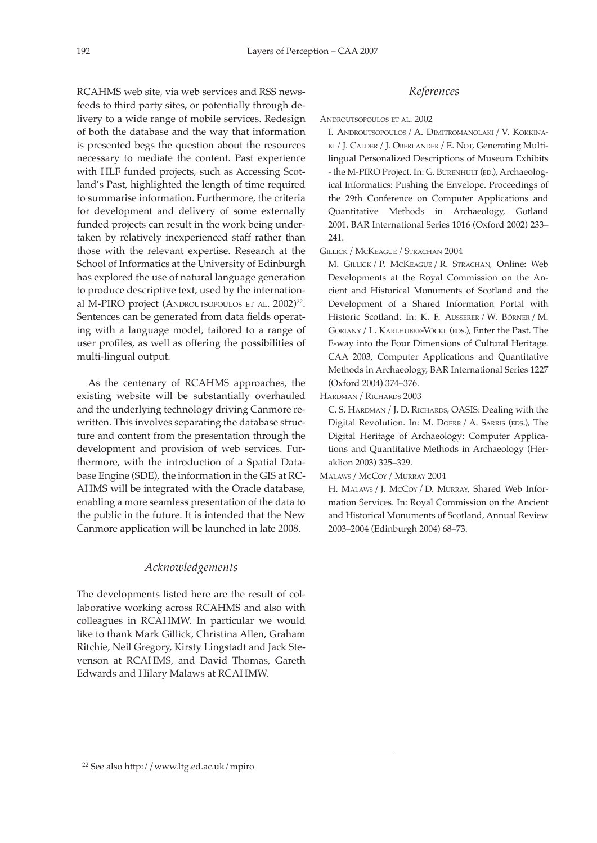RCAHMS web site, via web services and RSS newsfeeds to third party sites, or potentially through delivery to a wide range of mobile services. Redesign of both the database and the way that information is presented begs the question about the resources necessary to mediate the content. Past experience with HLF funded projects, such as Accessing Scotland's Past, highlighted the length of time required to summarise information. Furthermore, the criteria for development and delivery of some externally funded projects can result in the work being undertaken by relatively inexperienced staff rather than those with the relevant expertise. Research at the School of Informatics at the University of Edinburgh has explored the use of natural language generation to produce descriptive text, used by the international M-PIRO project (ANDROUTSOPOULOS ET AL. 2002)<sup>22</sup>. Sentences can be generated from data fields operating with a language model, tailored to a range of user profiles, as well as offering the possibilities of multi-lingual output.

As the centenary of RCAHMS approaches, the existing website will be substantially overhauled and the underlying technology driving Canmore rewritten. This involves separating the database structure and content from the presentation through the development and provision of web services. Furthermore, with the introduction of a Spatial Database Engine (SDE), the information in the GIS at RC-AHMS will be integrated with the Oracle database, enabling a more seamless presentation of the data to the public in the future. It is intended that the New Canmore application will be launched in late 2008.

## *Acknowledgements*

The developments listed here are the result of collaborative working across RCAHMS and also with colleagues in RCAHMW. In particular we would like to thank Mark Gillick, Christina Allen, Graham Ritchie, Neil Gregory, Kirsty Lingstadt and Jack Stevenson at RCAHMS, and David Thomas, Gareth Edwards and Hilary Malaws at RCAHMW.

# *References*

ANDROUTSOPOULOS ET AL. 2002

I. Androutsopoulos/ A. Dimitromanolaki/ V. Kokkinaki/J. Calder /J. Oberlander / E. Not, Generating Multilingual Personalized Descriptions of Museum Exhibits - the M-PIRO Project. In: G. BURENHULT (ED.), Archaeological Informatics: Pushing the Envelope. Proceedings of the 29th Conference on Computer Applications and Quantitative Methods in Archaeology, Gotland 2001. BAR International Series 1016 (Oxford 2002) 233– 241.

Gillick / McKeague / Strachan 2004

M. Gillick /P. McKeague / R. Strachan, Online: Web Developments at the Royal Commission on the Ancient and Historical Monuments of Scotland and the Development of a Shared Information Portal with Historic Scotland. In: K. F. Ausserer /W. Börner / M. GORIANY / L. KARLHUBER-VÖCKL (EDS.), Enter the Past. The E-way into the Four Dimensions of Cultural Heritage. CAA 2003, Computer Applications and Quantitative Methods in Archaeology, BAR International Series 1227 (Oxford 2004) 374–376.

Hardman / Richards 2003

C. S. HARDMAN / J. D. RICHARDS, OASIS: Dealing with the Digital Revolution. In: M. DOERR / A. SARRIS (EDS.), The Digital Heritage of Archaeology: Computer Applications and Quantitative Methods in Archaeology (Heraklion 2003) 325–329.

#### Malaws/ McCoy / Murray 2004

H. MALAWS / J. McCoy / D. MURRAY, Shared Web Information Services. In: Royal Commission on the Ancient and Historical Monuments of Scotland, Annual Review 2003–2004 (Edinburgh 2004) 68–73.

<sup>22</sup> See also http://www.ltg.ed.ac.uk/mpiro